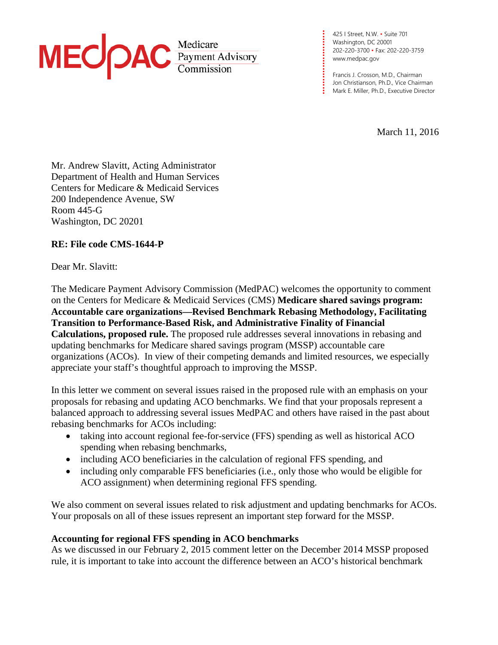

**. . .** [www.medpac.gov](http://www.medpac.gov/) 425 I Street, N.W. • Suite 701 Washington, DC 20001 202-220-3700 • Fax: 202-220-3759

**. . . . . . . . . .**

**. .**

**. . . .** Francis J. Crosson, M.D., Chairman **. .** Jon Christianson, Ph.D., Vice Chairman **. . .** Mark E. Miller, Ph.D., Executive Director

March 11, 2016

Mr. Andrew Slavitt, Acting Administrator Department of Health and Human Services Centers for Medicare & Medicaid Services 200 Independence Avenue, SW Room 445-G Washington, DC 20201

# **RE: File code CMS-1644-P**

Dear Mr. Slavitt:

The Medicare Payment Advisory Commission (MedPAC) welcomes the opportunity to comment on the Centers for Medicare & Medicaid Services (CMS) **Medicare shared savings program: Accountable care organizations—Revised Benchmark Rebasing Methodology, Facilitating Transition to Performance-Based Risk, and Administrative Finality of Financial Calculations, proposed rule.** The proposed rule addresses several innovations in rebasing and updating benchmarks for Medicare shared savings program (MSSP) accountable care organizations (ACOs). In view of their competing demands and limited resources, we especially appreciate your staff's thoughtful approach to improving the MSSP.

In this letter we comment on several issues raised in the proposed rule with an emphasis on your proposals for rebasing and updating ACO benchmarks. We find that your proposals represent a balanced approach to addressing several issues MedPAC and others have raised in the past about rebasing benchmarks for ACOs including:

- taking into account regional fee-for-service (FFS) spending as well as historical ACO spending when rebasing benchmarks,
- including ACO beneficiaries in the calculation of regional FFS spending, and
- including only comparable FFS beneficiaries (i.e., only those who would be eligible for ACO assignment) when determining regional FFS spending.

We also comment on several issues related to risk adjustment and updating benchmarks for ACOs. Your proposals on all of these issues represent an important step forward for the MSSP.

## **Accounting for regional FFS spending in ACO benchmarks**

As we discussed in our February 2, 2015 comment letter on the December 2014 MSSP proposed rule, it is important to take into account the difference between an ACO's historical benchmark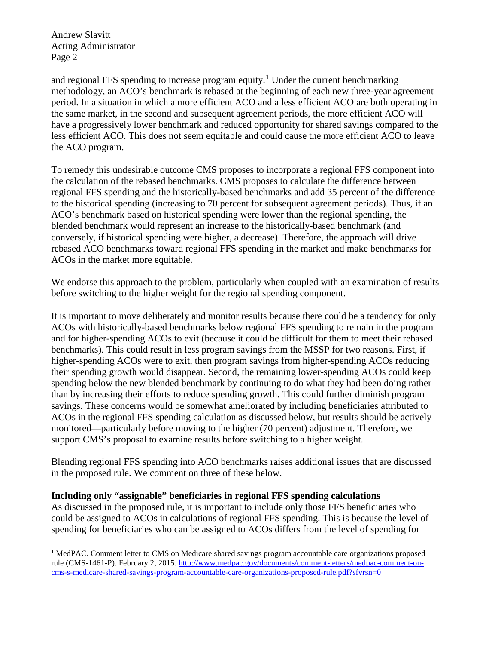Andrew Slavitt Acting Administrator Page 2

and regional FFS spending to increase program equity.<sup>[1](#page-1-0)</sup> Under the current benchmarking methodology, an ACO's benchmark is rebased at the beginning of each new three-year agreement period. In a situation in which a more efficient ACO and a less efficient ACO are both operating in the same market, in the second and subsequent agreement periods, the more efficient ACO will have a progressively lower benchmark and reduced opportunity for shared savings compared to the less efficient ACO. This does not seem equitable and could cause the more efficient ACO to leave the ACO program.

To remedy this undesirable outcome CMS proposes to incorporate a regional FFS component into the calculation of the rebased benchmarks. CMS proposes to calculate the difference between regional FFS spending and the historically-based benchmarks and add 35 percent of the difference to the historical spending (increasing to 70 percent for subsequent agreement periods). Thus, if an ACO's benchmark based on historical spending were lower than the regional spending, the blended benchmark would represent an increase to the historically-based benchmark (and conversely, if historical spending were higher, a decrease). Therefore, the approach will drive rebased ACO benchmarks toward regional FFS spending in the market and make benchmarks for ACOs in the market more equitable.

We endorse this approach to the problem, particularly when coupled with an examination of results before switching to the higher weight for the regional spending component.

It is important to move deliberately and monitor results because there could be a tendency for only ACOs with historically-based benchmarks below regional FFS spending to remain in the program and for higher-spending ACOs to exit (because it could be difficult for them to meet their rebased benchmarks). This could result in less program savings from the MSSP for two reasons. First, if higher-spending ACOs were to exit, then program savings from higher-spending ACOs reducing their spending growth would disappear. Second, the remaining lower-spending ACOs could keep spending below the new blended benchmark by continuing to do what they had been doing rather than by increasing their efforts to reduce spending growth. This could further diminish program savings. These concerns would be somewhat ameliorated by including beneficiaries attributed to ACOs in the regional FFS spending calculation as discussed below, but results should be actively monitored—particularly before moving to the higher (70 percent) adjustment. Therefore, we support CMS's proposal to examine results before switching to a higher weight.

Blending regional FFS spending into ACO benchmarks raises additional issues that are discussed in the proposed rule. We comment on three of these below.

### **Including only "assignable" beneficiaries in regional FFS spending calculations**

As discussed in the proposed rule, it is important to include only those FFS beneficiaries who could be assigned to ACOs in calculations of regional FFS spending. This is because the level of spending for beneficiaries who can be assigned to ACOs differs from the level of spending for

<span id="page-1-0"></span><sup>&</sup>lt;sup>1</sup> MedPAC. Comment letter to CMS on Medicare shared savings program accountable care organizations proposed rule (CMS-1461-P). February 2, 2015[. http://www.medpac.gov/documents/comment-letters/medpac-comment-on](http://www.medpac.gov/documents/comment-letters/medpac-comment-on-cms-s-medicare-shared-savings-program-accountable-care-organizations-proposed-rule.pdf?sfvrsn=0)[cms-s-medicare-shared-savings-program-accountable-care-organizations-proposed-rule.pdf?sfvrsn=0](http://www.medpac.gov/documents/comment-letters/medpac-comment-on-cms-s-medicare-shared-savings-program-accountable-care-organizations-proposed-rule.pdf?sfvrsn=0)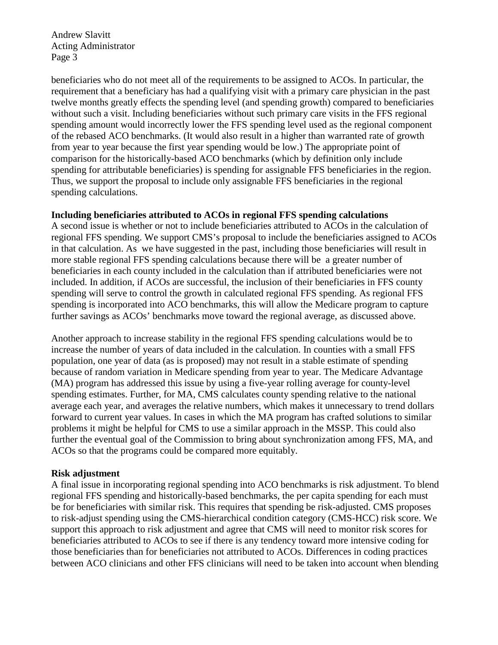Andrew Slavitt Acting Administrator Page 3

beneficiaries who do not meet all of the requirements to be assigned to ACOs. In particular, the requirement that a beneficiary has had a qualifying visit with a primary care physician in the past twelve months greatly effects the spending level (and spending growth) compared to beneficiaries without such a visit. Including beneficiaries without such primary care visits in the FFS regional spending amount would incorrectly lower the FFS spending level used as the regional component of the rebased ACO benchmarks. (It would also result in a higher than warranted rate of growth from year to year because the first year spending would be low.) The appropriate point of comparison for the historically-based ACO benchmarks (which by definition only include spending for attributable beneficiaries) is spending for assignable FFS beneficiaries in the region. Thus, we support the proposal to include only assignable FFS beneficiaries in the regional spending calculations.

### **Including beneficiaries attributed to ACOs in regional FFS spending calculations**

A second issue is whether or not to include beneficiaries attributed to ACOs in the calculation of regional FFS spending. We support CMS's proposal to include the beneficiaries assigned to ACOs in that calculation. As we have suggested in the past, including those beneficiaries will result in more stable regional FFS spending calculations because there will be a greater number of beneficiaries in each county included in the calculation than if attributed beneficiaries were not included. In addition, if ACOs are successful, the inclusion of their beneficiaries in FFS county spending will serve to control the growth in calculated regional FFS spending. As regional FFS spending is incorporated into ACO benchmarks, this will allow the Medicare program to capture further savings as ACOs' benchmarks move toward the regional average, as discussed above.

Another approach to increase stability in the regional FFS spending calculations would be to increase the number of years of data included in the calculation. In counties with a small FFS population, one year of data (as is proposed) may not result in a stable estimate of spending because of random variation in Medicare spending from year to year. The Medicare Advantage (MA) program has addressed this issue by using a five-year rolling average for county-level spending estimates. Further, for MA, CMS calculates county spending relative to the national average each year, and averages the relative numbers, which makes it unnecessary to trend dollars forward to current year values. In cases in which the MA program has crafted solutions to similar problems it might be helpful for CMS to use a similar approach in the MSSP. This could also further the eventual goal of the Commission to bring about synchronization among FFS, MA, and ACOs so that the programs could be compared more equitably.

### **Risk adjustment**

A final issue in incorporating regional spending into ACO benchmarks is risk adjustment. To blend regional FFS spending and historically-based benchmarks, the per capita spending for each must be for beneficiaries with similar risk. This requires that spending be risk-adjusted. CMS proposes to risk-adjust spending using the CMS-hierarchical condition category (CMS-HCC) risk score. We support this approach to risk adjustment and agree that CMS will need to monitor risk scores for beneficiaries attributed to ACOs to see if there is any tendency toward more intensive coding for those beneficiaries than for beneficiaries not attributed to ACOs. Differences in coding practices between ACO clinicians and other FFS clinicians will need to be taken into account when blending